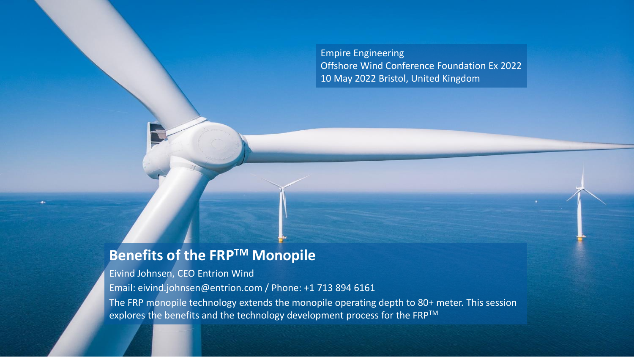Empire Engineering Offshore Wind Conference Foundation Ex 2022 10 May 2022 Bristol, United Kingdom

#### **Benefits of the FRPTM Monopile**

Eivind Johnsen, CEO Entrion Wind

Email: eivind.johnsen@entrion.com / Phone: +1 713 894 6161

The FRP monopile technology extends the monopile operating depth to 80+ meter. This session explores the benefits and the technology development process for the FRP™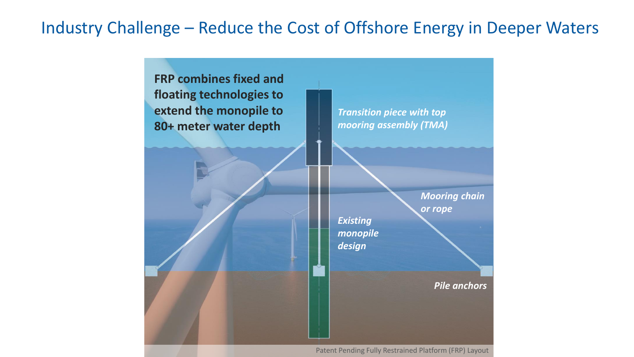# Industry Challenge – Reduce the Cost of Offshore Energy in Deeper Waters



Patent Pending Fully Restrained Platform (FRP) Layout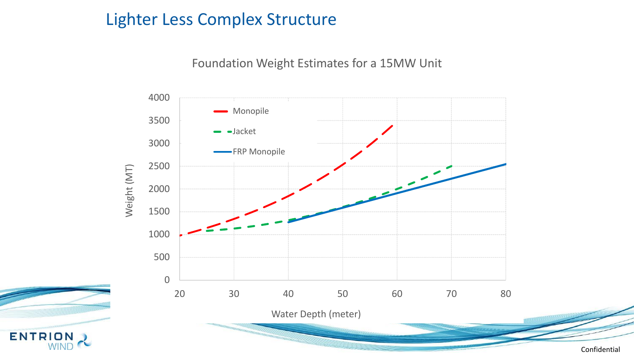## Lighter Less Complex Structure

**ENTRION** 

Foundation Weight Estimates for a 15MW Unit

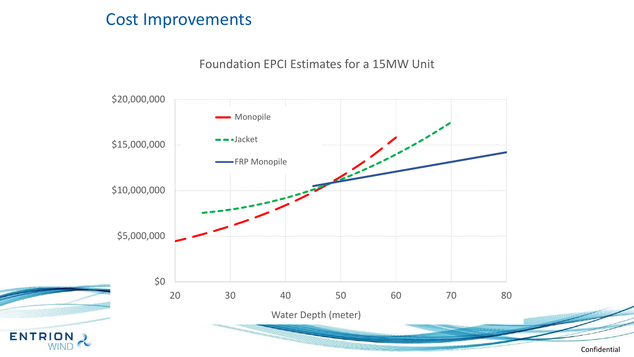#### Cost Improvements

**ENTRION** 

WINI

#### Foundation EPCI Estimates for a 15MW Unit



Confidential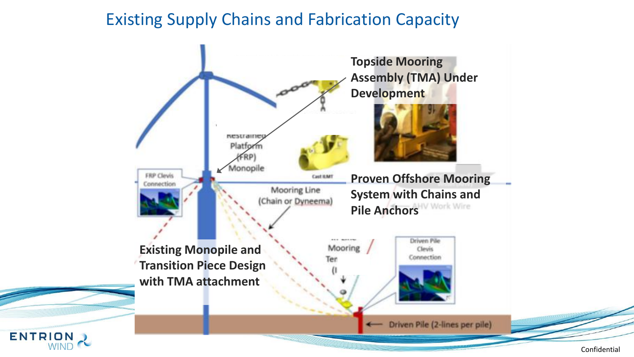## Existing Supply Chains and Fabrication Capacity

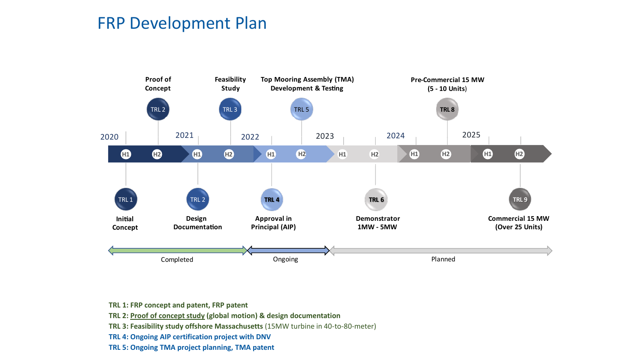#### FRP Development Plan

![](_page_5_Figure_1.jpeg)

- **TRL 2: [Proof of concept study](https://www.entrionwind.com/technology) (global motion) & design documentation**
- **TRL 3: Feasibility study offshore Massachusetts** (15MW turbine in 40-to-80-meter)
- **TRL 4: Ongoing AIP certification project with DNV**
- **TRL 5: Ongoing TMA project planning, TMA patent**

**TRL 1: FRP concept and patent, FRP patent**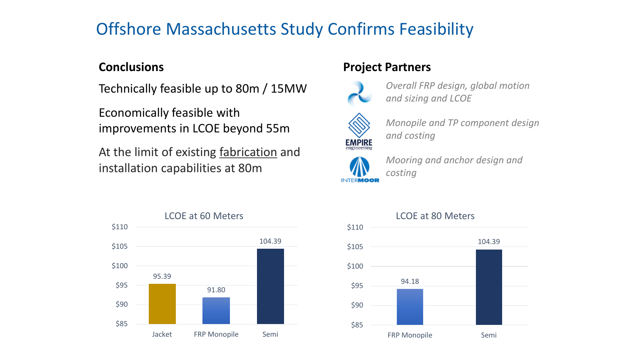# Offshore Massachusetts Study Confirms Feasibility

Technically feasible up to 80m / 15MW

Economically feasible with improvements in LCOE beyond 55m

At the limit of existing fabrication and installation capabilities at 80m

#### **Conclusions Project Partners**

![](_page_6_Picture_6.jpeg)

*Overall FRP design, global motion and sizing and LCOE*

![](_page_6_Picture_8.jpeg)

*Monopile and TP component design and costing*

![](_page_6_Picture_10.jpeg)

*Mooring and anchor design and costing*

![](_page_6_Figure_12.jpeg)

![](_page_6_Figure_13.jpeg)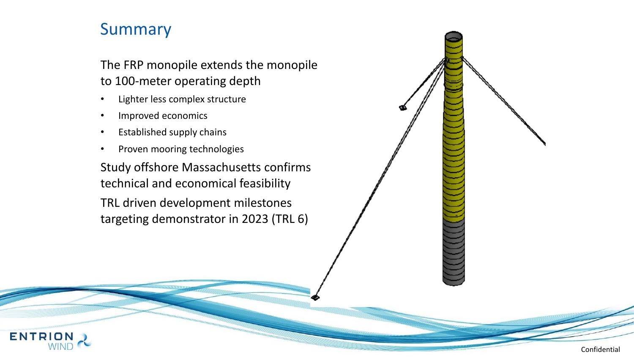## Summary

**ENTRI** 

The FRP monopile extends the monopile to 100-meter operating depth

- Lighter less complex structure
- Improved economics
- Established supply chains
- Proven mooring technologies

Study offshore Massachusetts confirms technical and economical feasibility

TRL driven development milestones targeting demonstrator in 2023 (TRL 6)